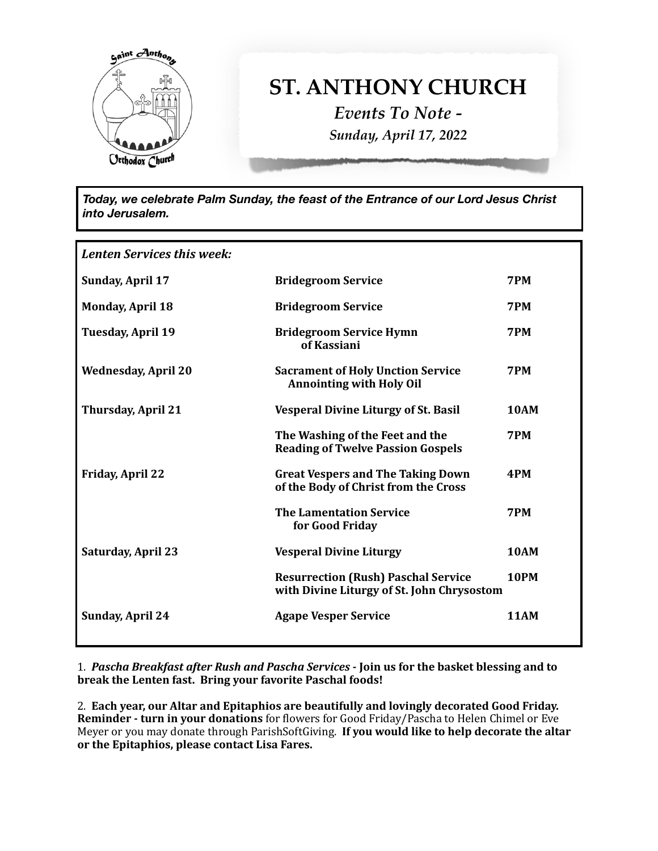

## **ST. ANTHONY CHURCH**

*Events To Note - Sunday, April 17, 2022*

*Today, we celebrate Palm Sunday, the feast of the Entrance of our Lord Jesus Christ into Jerusalem.*

| Lenten Services this week: |                                                                                          |             |
|----------------------------|------------------------------------------------------------------------------------------|-------------|
| <b>Sunday, April 17</b>    | <b>Bridegroom Service</b>                                                                | 7PM         |
| <b>Monday, April 18</b>    | <b>Bridegroom Service</b>                                                                | 7PM         |
| <b>Tuesday, April 19</b>   | <b>Bridegroom Service Hymn</b><br>of Kassiani                                            | 7PM         |
| <b>Wednesday, April 20</b> | <b>Sacrament of Holy Unction Service</b><br><b>Annointing with Holy Oil</b>              | 7PM         |
| <b>Thursday, April 21</b>  | <b>Vesperal Divine Liturgy of St. Basil</b>                                              | <b>10AM</b> |
|                            | The Washing of the Feet and the<br><b>Reading of Twelve Passion Gospels</b>              | 7PM         |
| <b>Friday, April 22</b>    | <b>Great Vespers and The Taking Down</b><br>of the Body of Christ from the Cross         | 4PM         |
|                            | <b>The Lamentation Service</b><br>for Good Friday                                        | 7PM         |
| <b>Saturday, April 23</b>  | <b>Vesperal Divine Liturgy</b>                                                           | <b>10AM</b> |
|                            | <b>Resurrection (Rush) Paschal Service</b><br>with Divine Liturgy of St. John Chrysostom | <b>10PM</b> |
| <b>Sunday, April 24</b>    | <b>Agape Vesper Service</b>                                                              | <b>11AM</b> |

1. Pascha Breakfast after Rush and Pascha Services - Join us for the basket blessing and to **break the Lenten fast. Bring your favorite Paschal foods!** 

2. Each year, our Altar and Epitaphios are beautifully and lovingly decorated Good Friday. **Reminder - turn in your donations** for flowers for Good Friday/Pascha to Helen Chimel or Eve Meyer or you may donate through ParishSoftGiving. If you would like to help decorate the altar or the Epitaphios, please contact Lisa Fares.